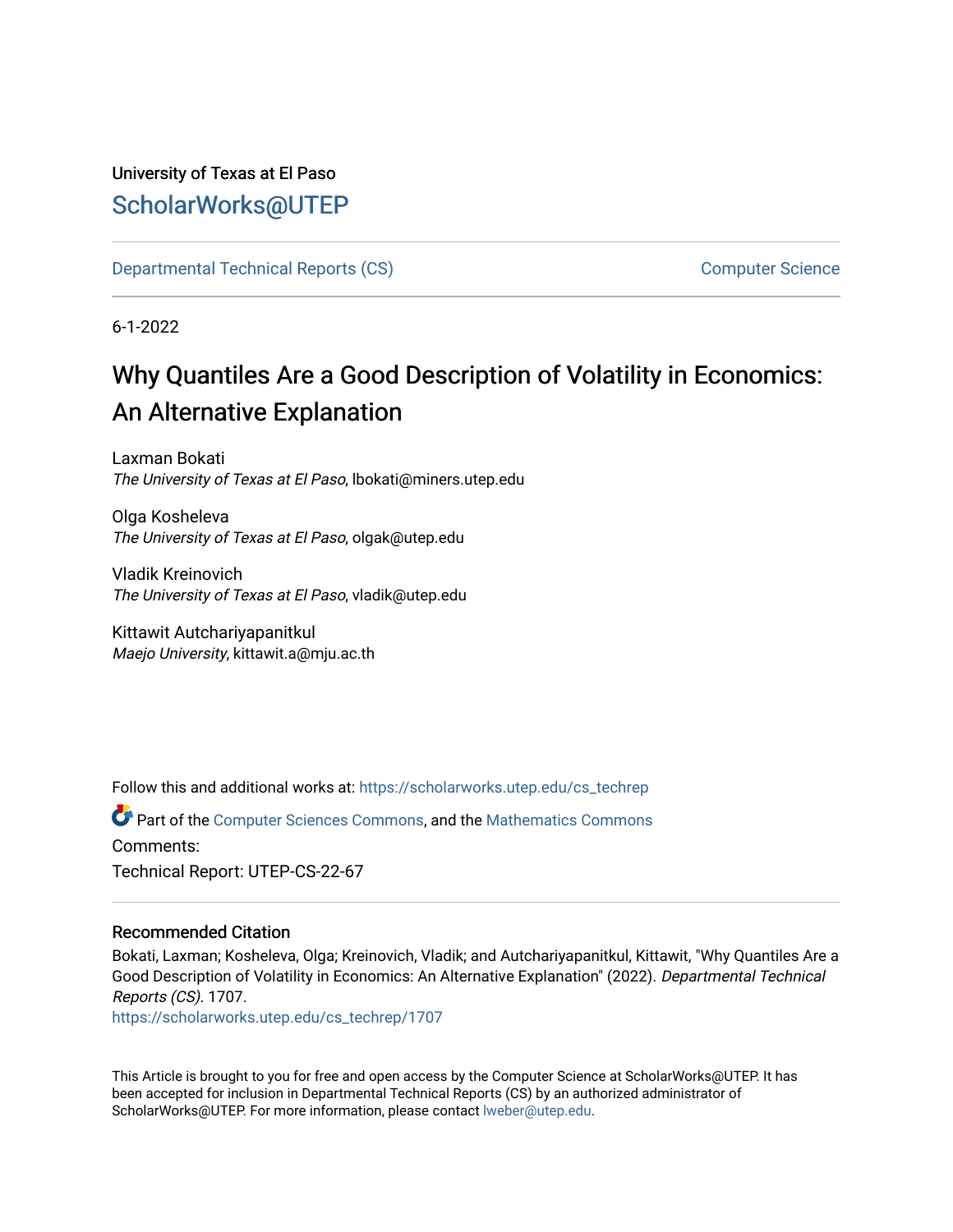## University of Texas at El Paso [ScholarWorks@UTEP](https://scholarworks.utep.edu/)

[Departmental Technical Reports \(CS\)](https://scholarworks.utep.edu/cs_techrep) [Computer Science](https://scholarworks.utep.edu/computer) 

6-1-2022

# Why Quantiles Are a Good Description of Volatility in Economics: An Alternative Explanation

Laxman Bokati The University of Texas at El Paso, lbokati@miners.utep.edu

Olga Kosheleva The University of Texas at El Paso, olgak@utep.edu

Vladik Kreinovich The University of Texas at El Paso, vladik@utep.edu

Kittawit Autchariyapanitkul Maejo University, kittawit.a@mju.ac.th

Follow this and additional works at: [https://scholarworks.utep.edu/cs\\_techrep](https://scholarworks.utep.edu/cs_techrep?utm_source=scholarworks.utep.edu%2Fcs_techrep%2F1707&utm_medium=PDF&utm_campaign=PDFCoverPages) 

Part of the [Computer Sciences Commons](https://network.bepress.com/hgg/discipline/142?utm_source=scholarworks.utep.edu%2Fcs_techrep%2F1707&utm_medium=PDF&utm_campaign=PDFCoverPages), and the [Mathematics Commons](https://network.bepress.com/hgg/discipline/174?utm_source=scholarworks.utep.edu%2Fcs_techrep%2F1707&utm_medium=PDF&utm_campaign=PDFCoverPages)  Comments: Technical Report: UTEP-CS-22-67

## Recommended Citation

Bokati, Laxman; Kosheleva, Olga; Kreinovich, Vladik; and Autchariyapanitkul, Kittawit, "Why Quantiles Are a Good Description of Volatility in Economics: An Alternative Explanation" (2022). Departmental Technical Reports (CS). 1707.

[https://scholarworks.utep.edu/cs\\_techrep/1707](https://scholarworks.utep.edu/cs_techrep/1707?utm_source=scholarworks.utep.edu%2Fcs_techrep%2F1707&utm_medium=PDF&utm_campaign=PDFCoverPages) 

This Article is brought to you for free and open access by the Computer Science at ScholarWorks@UTEP. It has been accepted for inclusion in Departmental Technical Reports (CS) by an authorized administrator of ScholarWorks@UTEP. For more information, please contact [lweber@utep.edu](mailto:lweber@utep.edu).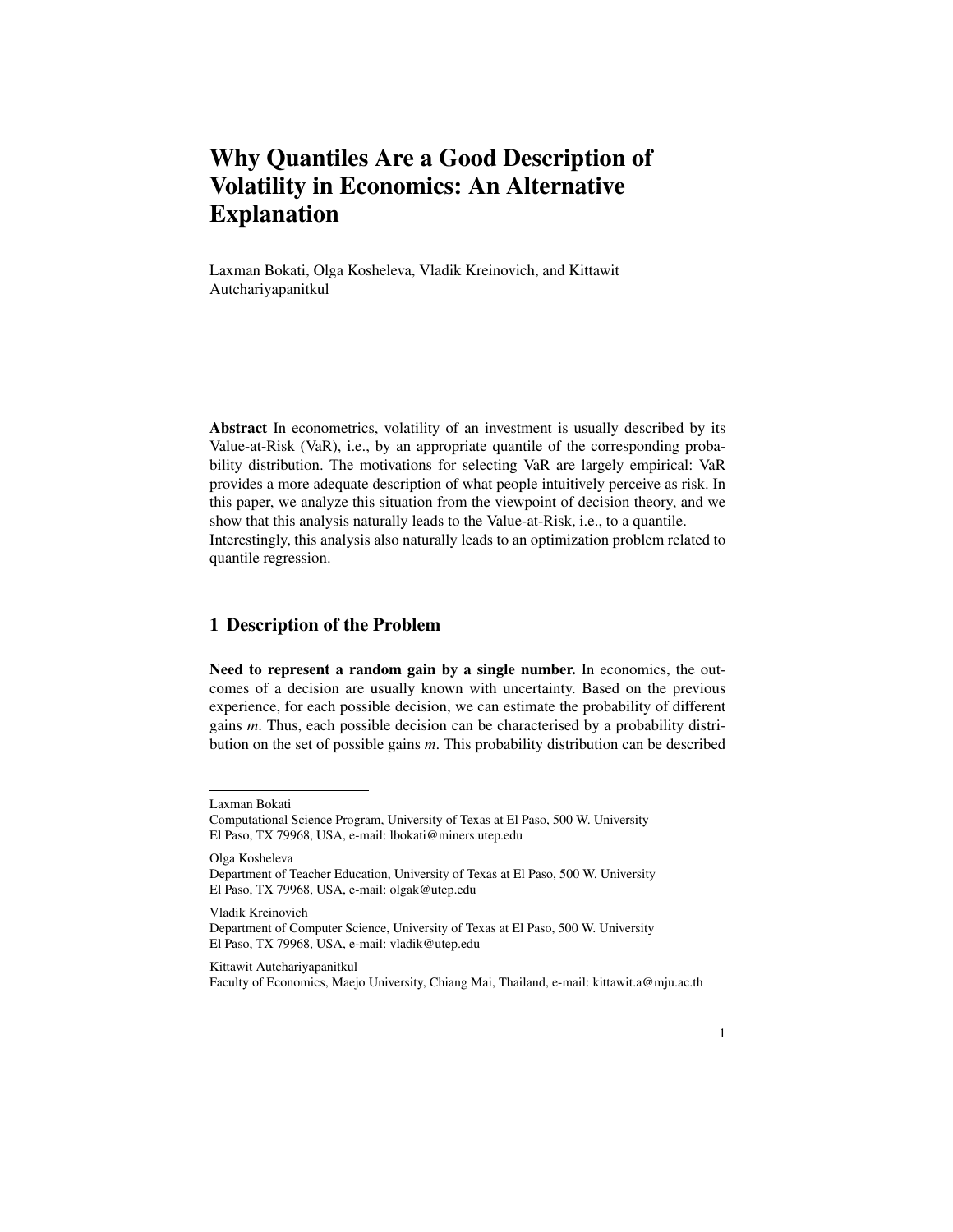## Why Quantiles Are a Good Description of Volatility in Economics: An Alternative Explanation

Laxman Bokati, Olga Kosheleva, Vladik Kreinovich, and Kittawit Autchariyapanitkul

Abstract In econometrics, volatility of an investment is usually described by its Value-at-Risk (VaR), i.e., by an appropriate quantile of the corresponding probability distribution. The motivations for selecting VaR are largely empirical: VaR provides a more adequate description of what people intuitively perceive as risk. In this paper, we analyze this situation from the viewpoint of decision theory, and we show that this analysis naturally leads to the Value-at-Risk, i.e., to a quantile. Interestingly, this analysis also naturally leads to an optimization problem related to quantile regression.

## 1 Description of the Problem

Need to represent a random gain by a single number. In economics, the outcomes of a decision are usually known with uncertainty. Based on the previous experience, for each possible decision, we can estimate the probability of different gains *m*. Thus, each possible decision can be characterised by a probability distribution on the set of possible gains *m*. This probability distribution can be described

Olga Kosheleva Department of Teacher Education, University of Texas at El Paso, 500 W. University El Paso, TX 79968, USA, e-mail: olgak@utep.edu

#### Kittawit Autchariyapanitkul

Faculty of Economics, Maejo University, Chiang Mai, Thailand, e-mail: kittawit.a@mju.ac.th

Laxman Bokati

Computational Science Program, University of Texas at El Paso, 500 W. University El Paso, TX 79968, USA, e-mail: lbokati@miners.utep.edu

Vladik Kreinovich Department of Computer Science, University of Texas at El Paso, 500 W. University El Paso, TX 79968, USA, e-mail: vladik@utep.edu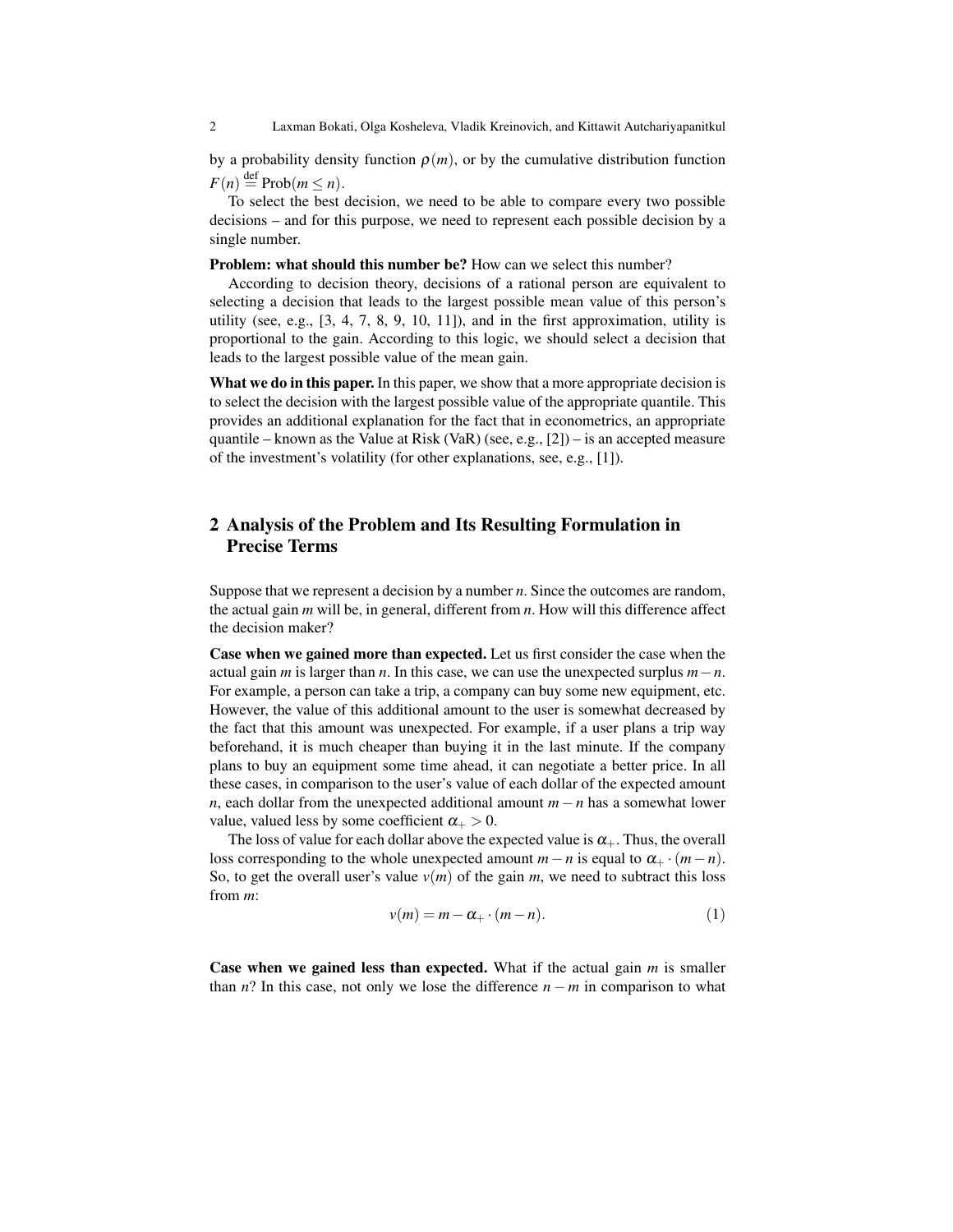2 Laxman Bokati, Olga Kosheleva, Vladik Kreinovich, and Kittawit Autchariyapanitkul

by a probability density function  $\rho(m)$ , or by the cumulative distribution function  $F(n) \stackrel{\text{def}}{=} \text{Prob}(m \leq n).$ 

To select the best decision, we need to be able to compare every two possible decisions – and for this purpose, we need to represent each possible decision by a single number.

Problem: what should this number be? How can we select this number?

According to decision theory, decisions of a rational person are equivalent to selecting a decision that leads to the largest possible mean value of this person's utility (see, e.g.,  $[3, 4, 7, 8, 9, 10, 11]$ ), and in the first approximation, utility is proportional to the gain. According to this logic, we should select a decision that leads to the largest possible value of the mean gain.

What we do in this paper. In this paper, we show that a more appropriate decision is to select the decision with the largest possible value of the appropriate quantile. This provides an additional explanation for the fact that in econometrics, an appropriate quantile – known as the Value at Risk (VaR) (see, e.g.,  $[2]$ ) – is an accepted measure of the investment's volatility (for other explanations, see, e.g., [1]).

## 2 Analysis of the Problem and Its Resulting Formulation in Precise Terms

Suppose that we represent a decision by a number *n*. Since the outcomes are random, the actual gain *m* will be, in general, different from *n*. How will this difference affect the decision maker?

Case when we gained more than expected. Let us first consider the case when the actual gain *m* is larger than *n*. In this case, we can use the unexpected surplus *m*−*n*. For example, a person can take a trip, a company can buy some new equipment, etc. However, the value of this additional amount to the user is somewhat decreased by the fact that this amount was unexpected. For example, if a user plans a trip way beforehand, it is much cheaper than buying it in the last minute. If the company plans to buy an equipment some time ahead, it can negotiate a better price. In all these cases, in comparison to the user's value of each dollar of the expected amount *n*, each dollar from the unexpected additional amount *m*−*n* has a somewhat lower value, valued less by some coefficient  $\alpha_+ > 0$ .

The loss of value for each dollar above the expected value is  $\alpha_+$ . Thus, the overall loss corresponding to the whole unexpected amount  $m - n$  is equal to  $\alpha_+ \cdot (m - n)$ . So, to get the overall user's value  $v(m)$  of the gain *m*, we need to subtract this loss from *m*:

$$
v(m) = m - \alpha_+ \cdot (m - n). \tag{1}
$$

Case when we gained less than expected. What if the actual gain *m* is smaller than *n*? In this case, not only we lose the difference  $n - m$  in comparison to what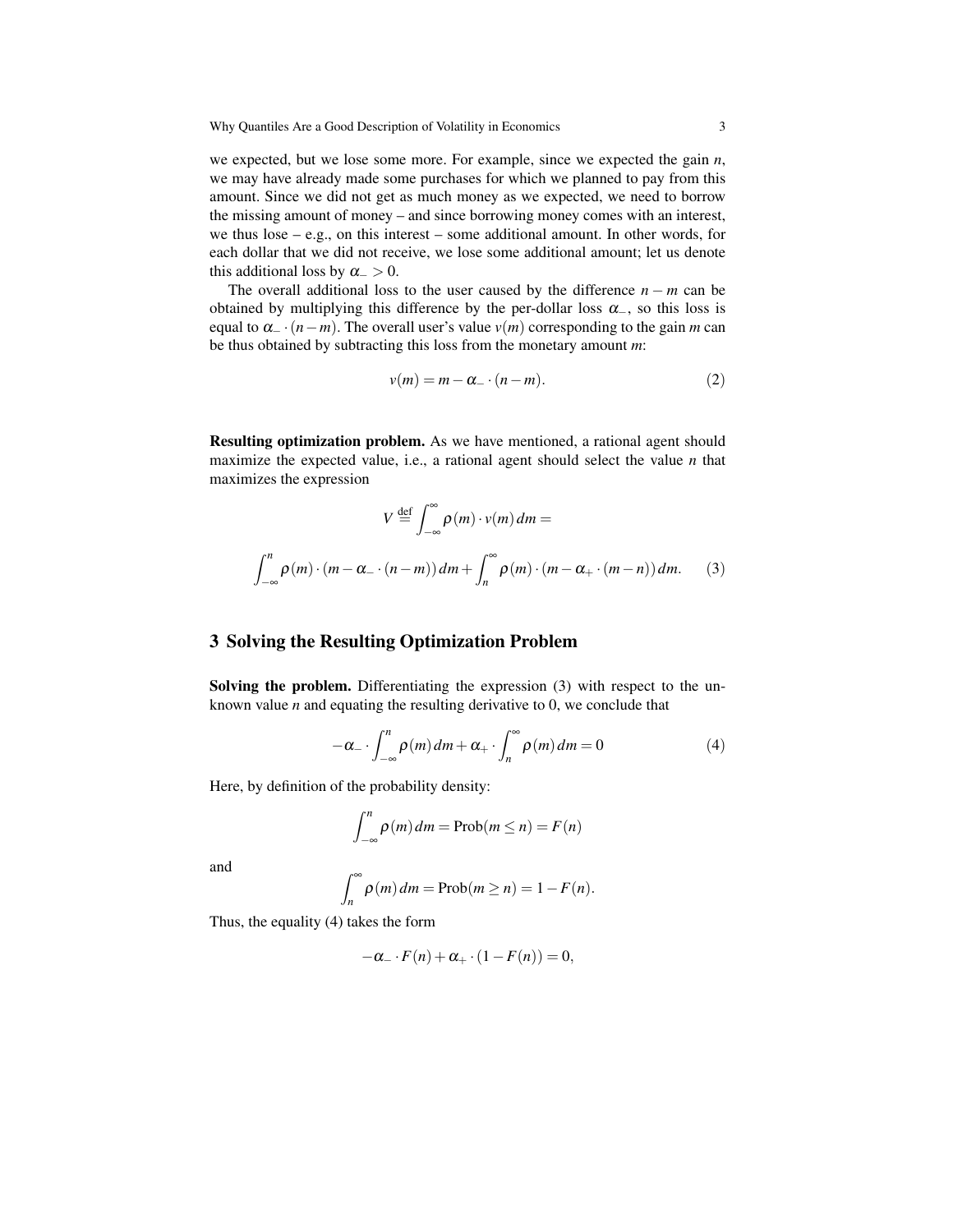we expected, but we lose some more. For example, since we expected the gain *n*, we may have already made some purchases for which we planned to pay from this amount. Since we did not get as much money as we expected, we need to borrow the missing amount of money – and since borrowing money comes with an interest, we thus  $\log - e.g.,$  on this interest – some additional amount. In other words, for each dollar that we did not receive, we lose some additional amount; let us denote this additional loss by  $\alpha_{-} > 0$ .

The overall additional loss to the user caused by the difference *n* − *m* can be obtained by multiplying this difference by the per-dollar loss  $\alpha_$ , so this loss is equal to  $\alpha$ <sub>−</sub> ·  $(n-m)$ . The overall user's value  $v(m)$  corresponding to the gain *m* can be thus obtained by subtracting this loss from the monetary amount *m*:

$$
v(m) = m - \alpha_- \cdot (n - m). \tag{2}
$$

Resulting optimization problem. As we have mentioned, a rational agent should maximize the expected value, i.e., a rational agent should select the value *n* that maximizes the expression

$$
V \stackrel{\text{def}}{=} \int_{-\infty}^{\infty} \rho(m) \cdot v(m) \, dm =
$$
  

$$
\int_{-\infty}^{n} \rho(m) \cdot (m - \alpha_{-} \cdot (n - m)) \, dm + \int_{n}^{\infty} \rho(m) \cdot (m - \alpha_{+} \cdot (m - n)) \, dm. \tag{3}
$$

### 3 Solving the Resulting Optimization Problem

Solving the problem. Differentiating the expression (3) with respect to the unknown value *n* and equating the resulting derivative to 0, we conclude that

$$
-\alpha_{-} \cdot \int_{-\infty}^{n} \rho(m) dm + \alpha_{+} \cdot \int_{n}^{\infty} \rho(m) dm = 0
$$
 (4)

Here, by definition of the probability density:

$$
\int_{-\infty}^{n} \rho(m) dm = \text{Prob}(m \le n) = F(n)
$$

and

$$
\int_{n}^{\infty} \rho(m) dm = \text{Prob}(m \ge n) = 1 - F(n).
$$

Thus, the equality (4) takes the form

$$
-\alpha_{-} \cdot F(n) + \alpha_{+} \cdot (1 - F(n)) = 0,
$$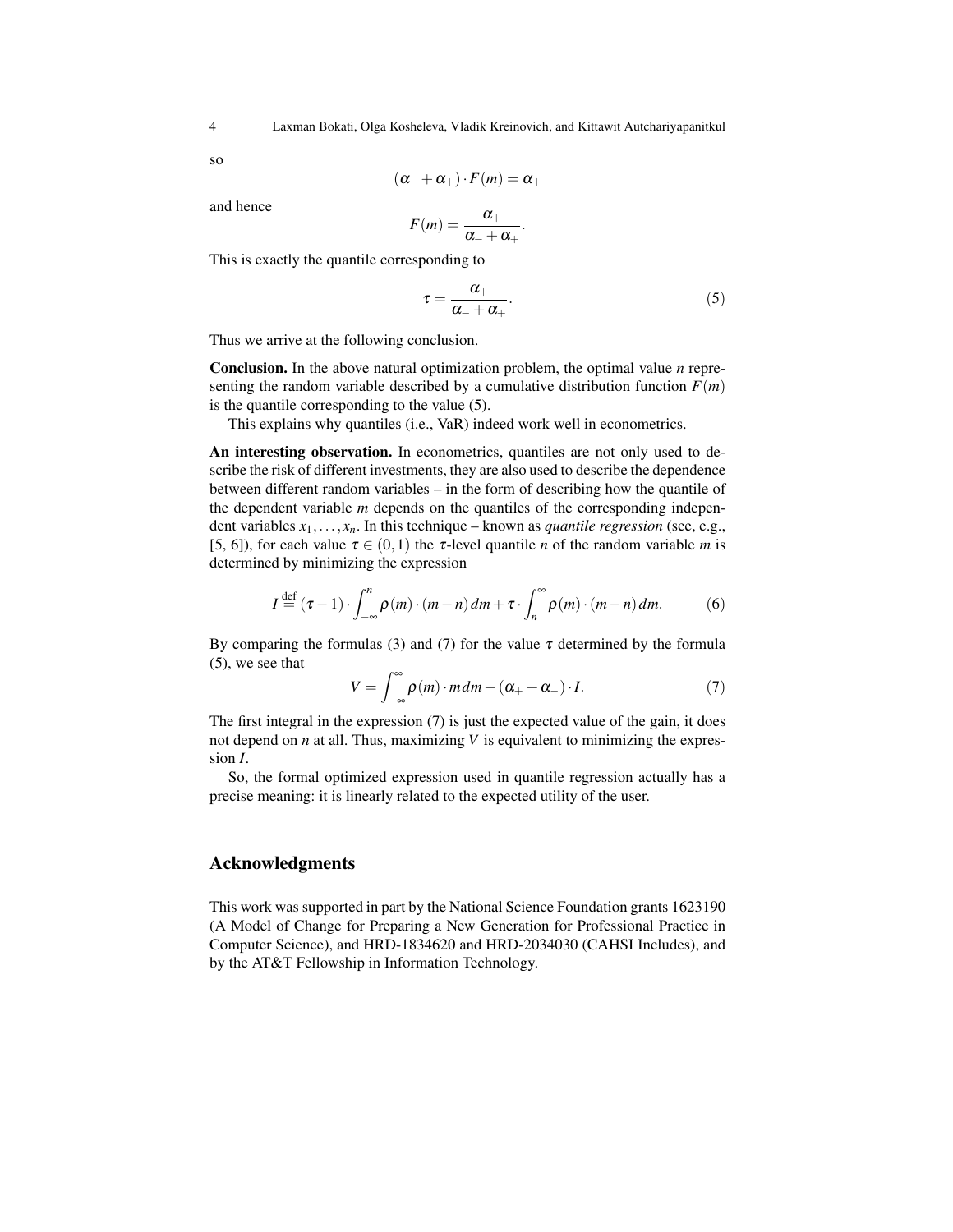so

$$
(\alpha_-+\alpha_+)\cdot F(m)=\alpha_+
$$

and hence

$$
F(m)=\frac{\alpha_+}{\alpha_-+\alpha_+}.
$$

This is exactly the quantile corresponding to

$$
\tau = \frac{\alpha_+}{\alpha_- + \alpha_+}.\tag{5}
$$

Thus we arrive at the following conclusion.

Conclusion. In the above natural optimization problem, the optimal value *n* representing the random variable described by a cumulative distribution function  $F(m)$ is the quantile corresponding to the value (5).

This explains why quantiles (i.e., VaR) indeed work well in econometrics.

An interesting observation. In econometrics, quantiles are not only used to describe the risk of different investments, they are also used to describe the dependence between different random variables – in the form of describing how the quantile of the dependent variable *m* depends on the quantiles of the corresponding independent variables  $x_1, \ldots, x_n$ . In this technique – known as *quantile regression* (see, e.g., [5, 6]), for each value  $\tau \in (0,1)$  the  $\tau$ -level quantile *n* of the random variable *m* is determined by minimizing the expression

$$
I \stackrel{\text{def}}{=} (\tau - 1) \cdot \int_{-\infty}^{n} \rho(m) \cdot (m - n) dm + \tau \cdot \int_{n}^{\infty} \rho(m) \cdot (m - n) dm. \tag{6}
$$

By comparing the formulas (3) and (7) for the value  $\tau$  determined by the formula (5), we see that

$$
V = \int_{-\infty}^{\infty} \rho(m) \cdot m \, dm - (\alpha_+ + \alpha_-) \cdot I. \tag{7}
$$

The first integral in the expression (7) is just the expected value of the gain, it does not depend on *n* at all. Thus, maximizing *V* is equivalent to minimizing the expression *I*.

So, the formal optimized expression used in quantile regression actually has a precise meaning: it is linearly related to the expected utility of the user.

## Acknowledgments

This work was supported in part by the National Science Foundation grants 1623190 (A Model of Change for Preparing a New Generation for Professional Practice in Computer Science), and HRD-1834620 and HRD-2034030 (CAHSI Includes), and by the AT&T Fellowship in Information Technology.